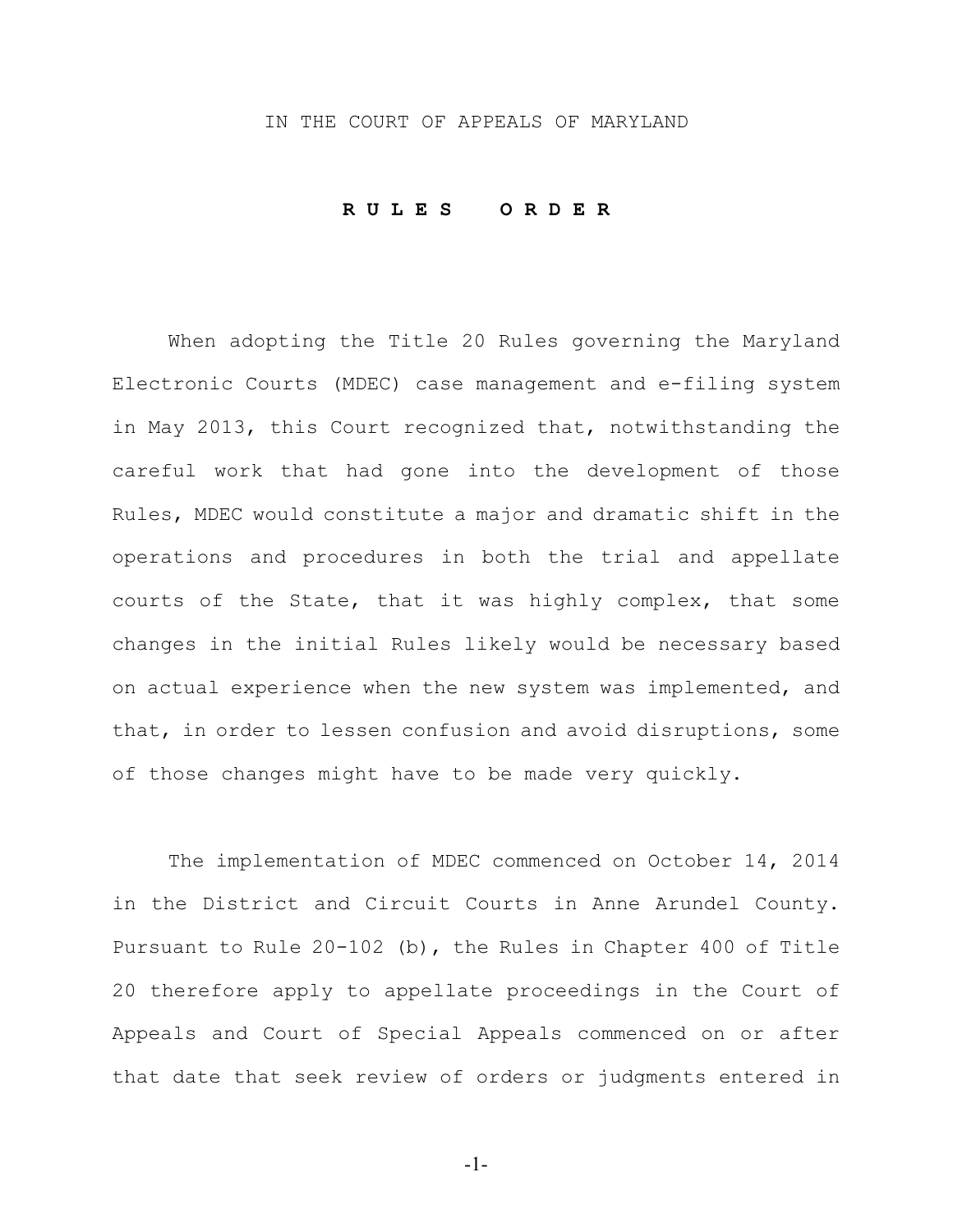## IN THE COURT OF APPEALS OF MARYLAND

### **R U L E S O R D E R**

When adopting the Title 20 Rules governing the Maryland Electronic Courts (MDEC) case management and e-filing system in May 2013, this Court recognized that, notwithstanding the careful work that had gone into the development of those Rules, MDEC would constitute a major and dramatic shift in the operations and procedures in both the trial and appellate courts of the State, that it was highly complex, that some changes in the initial Rules likely would be necessary based on actual experience when the new system was implemented, and that, in order to lessen confusion and avoid disruptions, some of those changes might have to be made very quickly.

The implementation of MDEC commenced on October 14, 2014 in the District and Circuit Courts in Anne Arundel County. Pursuant to Rule 20-102 (b), the Rules in Chapter 400 of Title 20 therefore apply to appellate proceedings in the Court of Appeals and Court of Special Appeals commenced on or after that date that seek review of orders or judgments entered in

-1-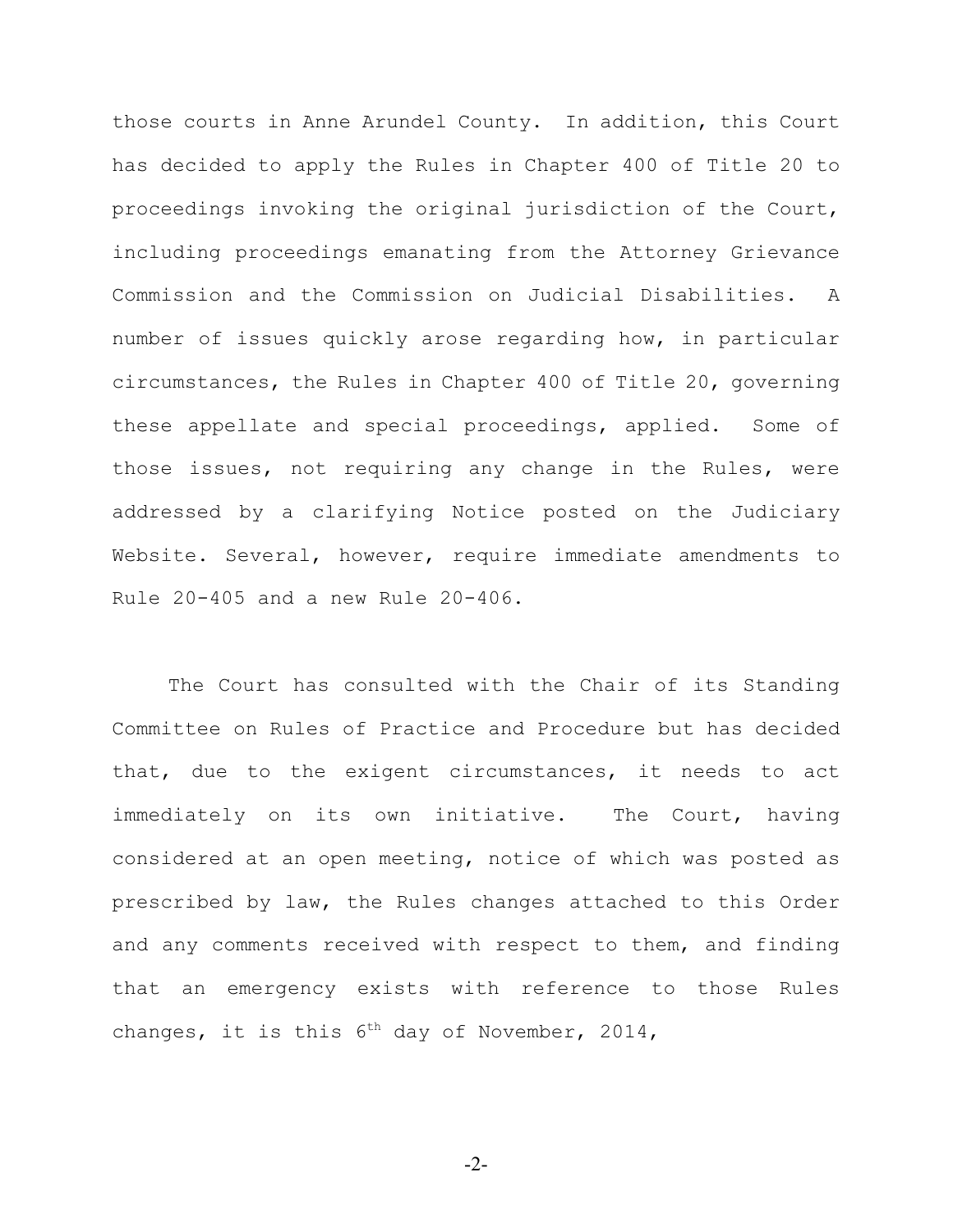those courts in Anne Arundel County. In addition, this Court has decided to apply the Rules in Chapter 400 of Title 20 to proceedings invoking the original jurisdiction of the Court, including proceedings emanating from the Attorney Grievance Commission and the Commission on Judicial Disabilities. A number of issues quickly arose regarding how, in particular circumstances, the Rules in Chapter 400 of Title 20, governing these appellate and special proceedings, applied. Some of those issues, not requiring any change in the Rules, were addressed by a clarifying Notice posted on the Judiciary Website. Several, however, require immediate amendments to Rule 20-405 and a new Rule 20-406.

The Court has consulted with the Chair of its Standing Committee on Rules of Practice and Procedure but has decided that, due to the exigent circumstances, it needs to act immediately on its own initiative. The Court, having considered at an open meeting, notice of which was posted as prescribed by law, the Rules changes attached to this Order and any comments received with respect to them, and finding that an emergency exists with reference to those Rules changes, it is this  $6<sup>th</sup>$  day of November, 2014,

-2-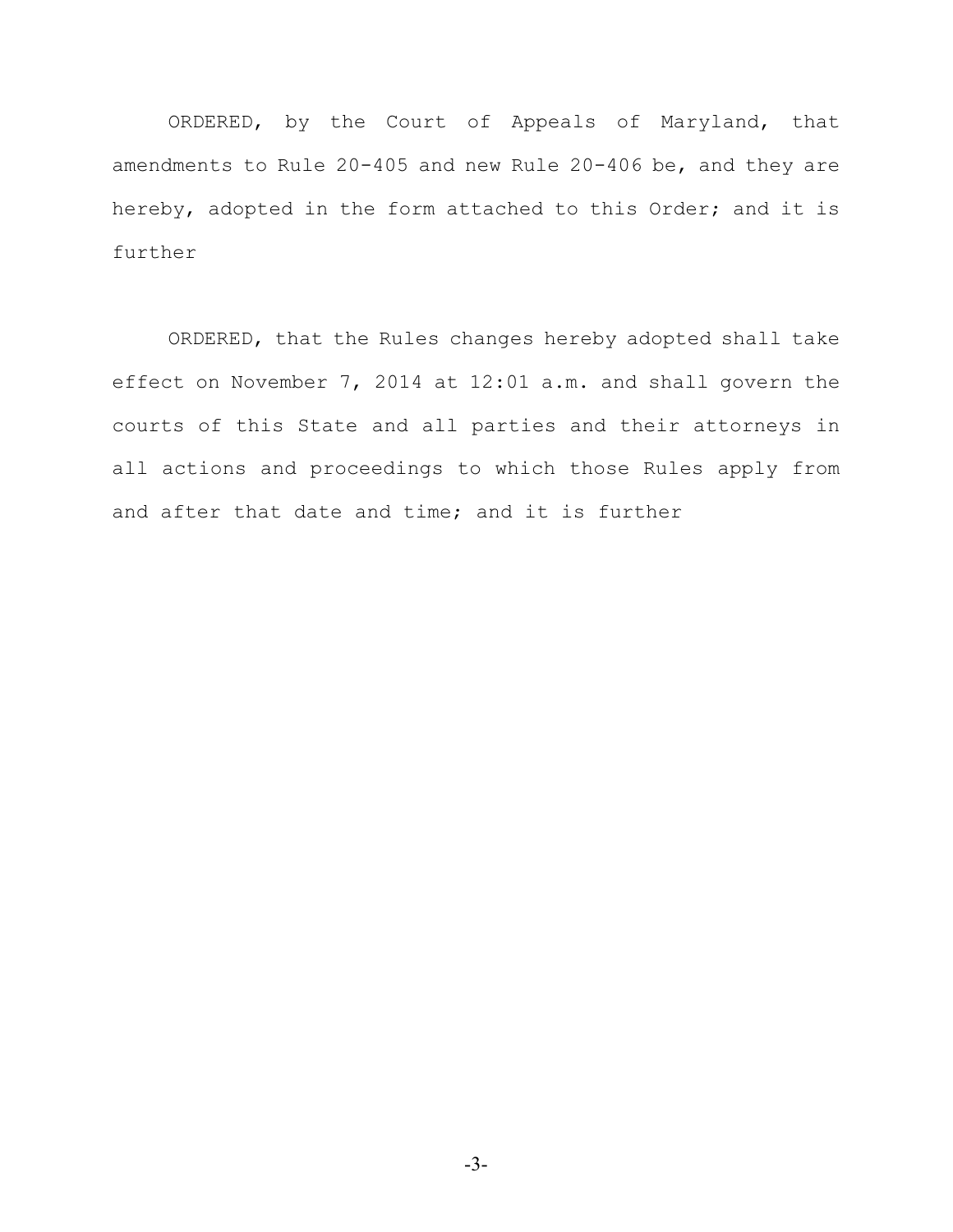ORDERED, by the Court of Appeals of Maryland, that amendments to Rule 20-405 and new Rule 20-406 be, and they are hereby, adopted in the form attached to this Order; and it is further

ORDERED, that the Rules changes hereby adopted shall take effect on November 7, 2014 at 12:01 a.m. and shall govern the courts of this State and all parties and their attorneys in all actions and proceedings to which those Rules apply from and after that date and time; and it is further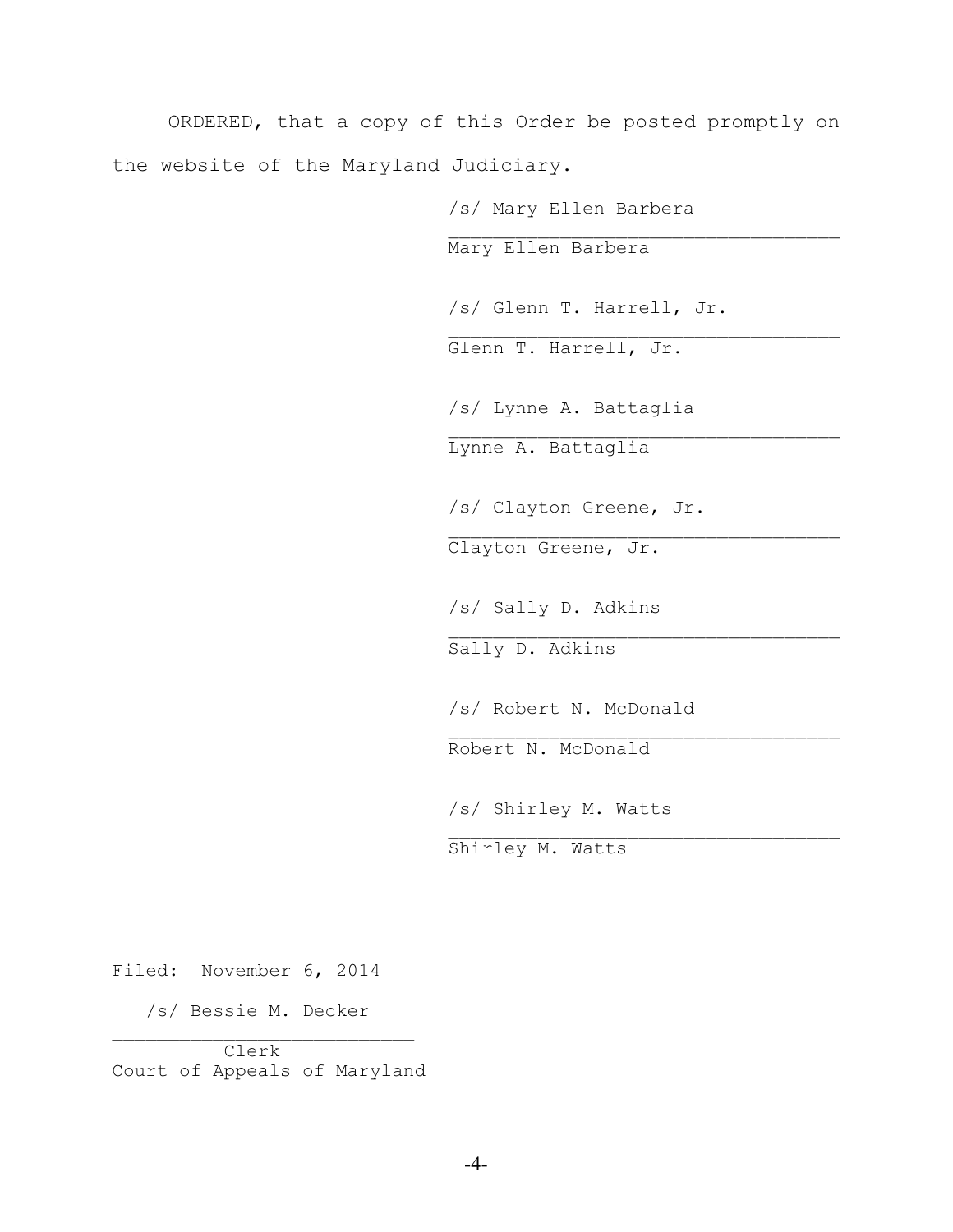ORDERED, that a copy of this Order be posted promptly on the website of the Maryland Judiciary.

> /s/ Mary Ellen Barbera  $\mathcal{L}_\text{max}$ Mary Ellen Barbera /s/ Glenn T. Harrell, Jr.  $\mathcal{L}_\text{max}$ Glenn T. Harrell, Jr. /s/ Lynne A. Battaglia  $\mathcal{L}_\text{max}$ Lynne A. Battaglia /s/ Clayton Greene, Jr.  $\mathcal{L}_\text{max}$ Clayton Greene, Jr. /s/ Sally D. Adkins \_\_\_\_\_\_\_\_\_\_\_\_\_\_\_\_\_\_\_\_\_\_\_\_\_\_\_\_\_\_\_\_\_\_\_ Sally D. Adkins /s/ Robert N. McDonald  $\mathcal{L}_\text{max}$ Robert N. McDonald /s/ Shirley M. Watts  $\mathcal{L}_\text{max}$ Shirley M. Watts

Filed: November 6, 2014

 /s/ Bessie M. Decker  $\mathcal{L}_\text{max}$ 

 Clerk Court of Appeals of Maryland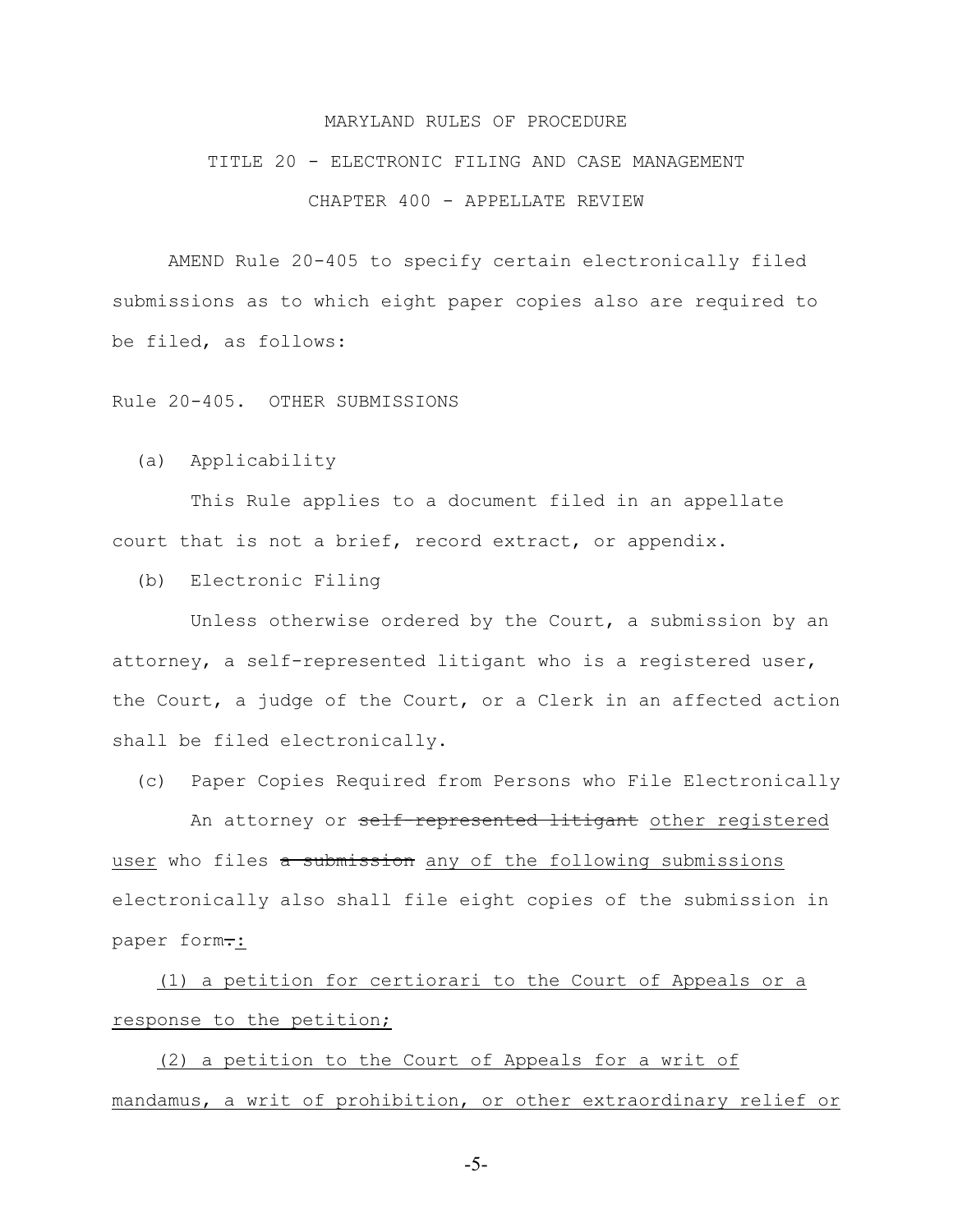#### MARYLAND RULES OF PROCEDURE

# TITLE 20 - ELECTRONIC FILING AND CASE MANAGEMENT CHAPTER 400 - APPELLATE REVIEW

AMEND Rule 20-405 to specify certain electronically filed submissions as to which eight paper copies also are required to be filed, as follows:

Rule 20-405. OTHER SUBMISSIONS

(a) Applicability

 This Rule applies to a document filed in an appellate court that is not a brief, record extract, or appendix.

(b) Electronic Filing

 Unless otherwise ordered by the Court, a submission by an attorney, a self-represented litigant who is a registered user, the Court, a judge of the Court, or a Clerk in an affected action shall be filed electronically.

(c) Paper Copies Required from Persons who File Electronically

An attorney or self-represented litigant other registered user who files a submission any of the following submissions electronically also shall file eight copies of the submission in paper form.:

 (1) a petition for certiorari to the Court of Appeals or a response to the petition;

 (2) a petition to the Court of Appeals for a writ of mandamus, a writ of prohibition, or other extraordinary relief or

-5-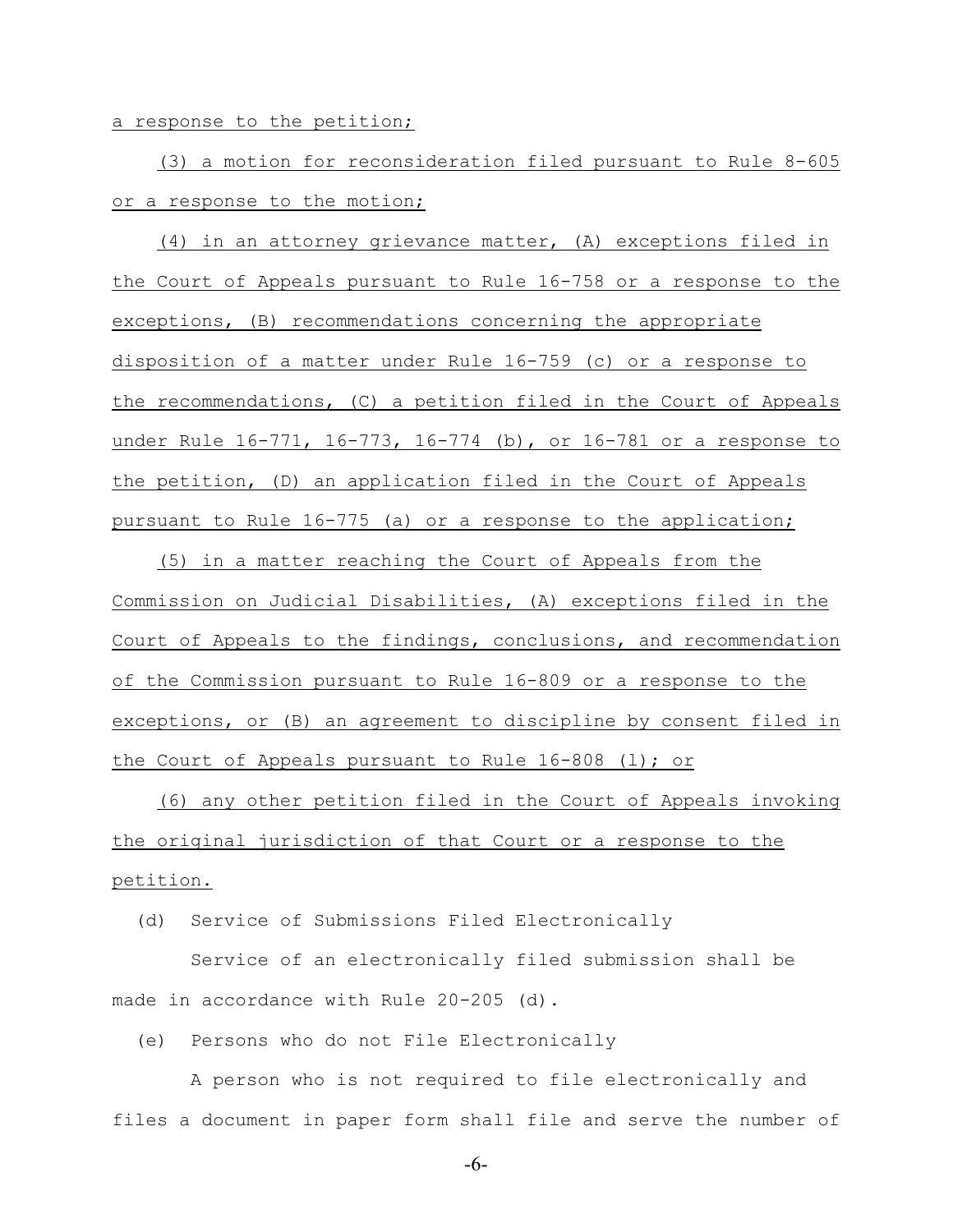a response to the petition;

 (3) a motion for reconsideration filed pursuant to Rule 8-605 or a response to the motion;

 (4) in an attorney grievance matter, (A) exceptions filed in the Court of Appeals pursuant to Rule 16-758 or a response to the exceptions, (B) recommendations concerning the appropriate disposition of a matter under Rule 16-759 (c) or a response to the recommendations, (C) a petition filed in the Court of Appeals under Rule 16-771, 16-773, 16-774 (b), or 16-781 or a response to the petition, (D) an application filed in the Court of Appeals pursuant to Rule 16-775 (a) or a response to the application;

 (5) in a matter reaching the Court of Appeals from the Commission on Judicial Disabilities, (A) exceptions filed in the Court of Appeals to the findings, conclusions, and recommendation of the Commission pursuant to Rule 16-809 or a response to the exceptions, or (B) an agreement to discipline by consent filed in the Court of Appeals pursuant to Rule 16-808 (l); or

 (6) any other petition filed in the Court of Appeals invoking the original jurisdiction of that Court or a response to the petition.

(d) Service of Submissions Filed Electronically

 Service of an electronically filed submission shall be made in accordance with Rule 20-205 (d).

(e) Persons who do not File Electronically

 A person who is not required to file electronically and files a document in paper form shall file and serve the number of

-6-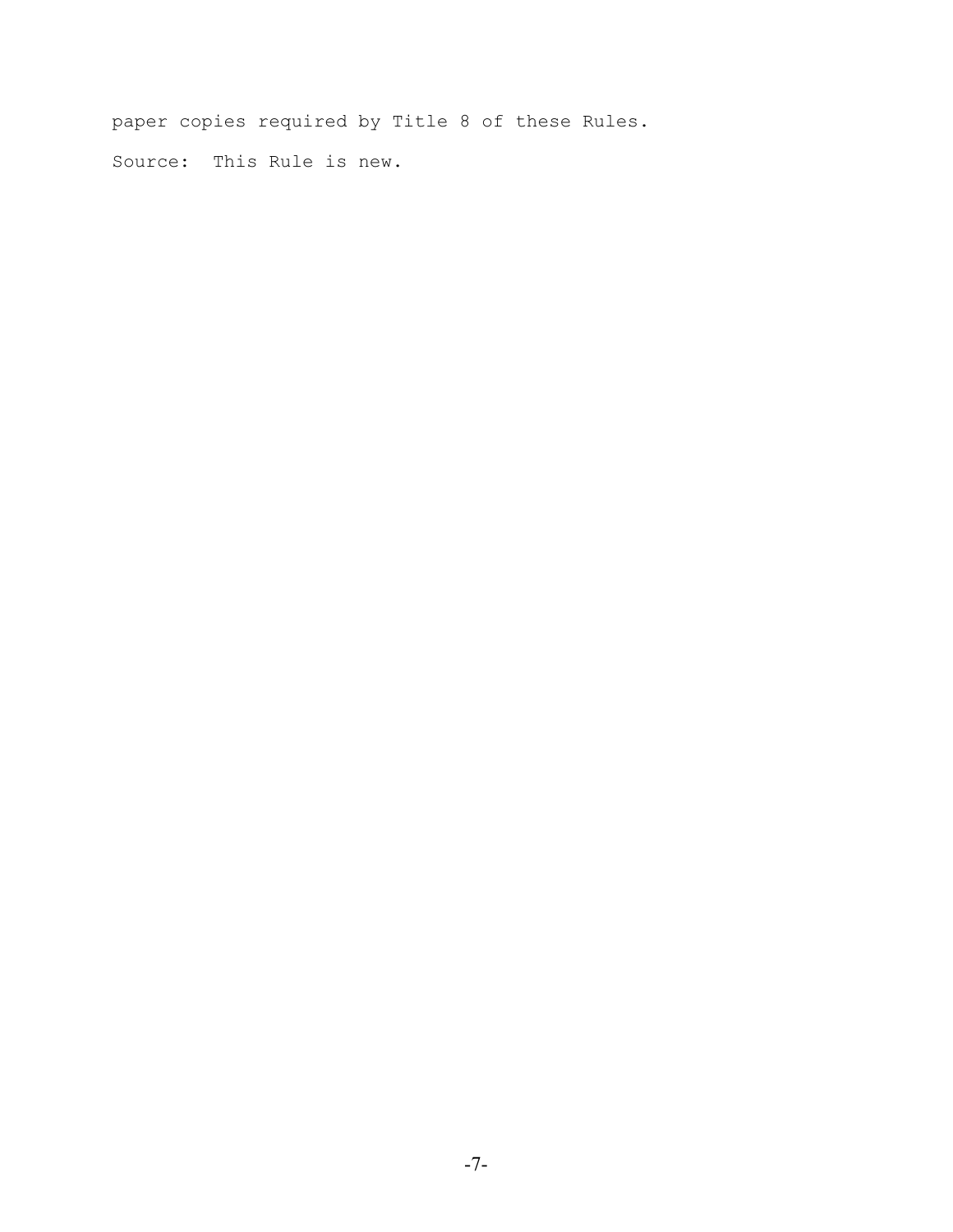paper copies required by Title 8 of these Rules. Source: This Rule is new.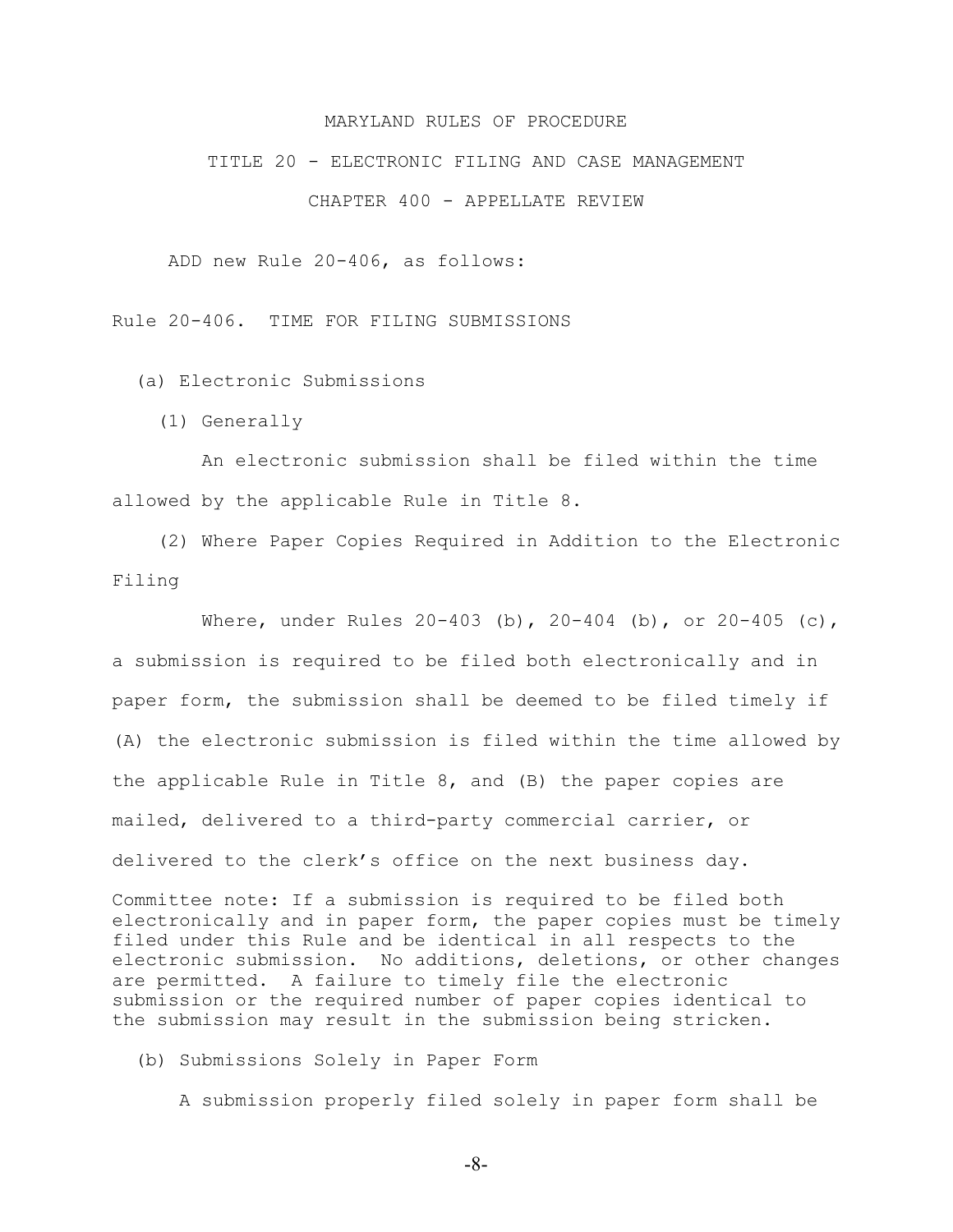#### MARYLAND RULES OF PROCEDURE

## TITLE 20 - ELECTRONIC FILING AND CASE MANAGEMENT CHAPTER 400 - APPELLATE REVIEW

ADD new Rule 20-406, as follows:

Rule 20-406. TIME FOR FILING SUBMISSIONS

(a) Electronic Submissions

(1) Generally

 An electronic submission shall be filed within the time allowed by the applicable Rule in Title 8.

 (2) Where Paper Copies Required in Addition to the Electronic Filing

Where, under Rules  $20-403$  (b),  $20-404$  (b), or  $20-405$  (c), a submission is required to be filed both electronically and in paper form, the submission shall be deemed to be filed timely if (A) the electronic submission is filed within the time allowed by the applicable Rule in Title 8, and (B) the paper copies are mailed, delivered to a third-party commercial carrier, or delivered to the clerk's office on the next business day.

Committee note: If a submission is required to be filed both electronically and in paper form, the paper copies must be timely filed under this Rule and be identical in all respects to the electronic submission. No additions, deletions, or other changes are permitted. A failure to timely file the electronic submission or the required number of paper copies identical to the submission may result in the submission being stricken.

(b) Submissions Solely in Paper Form

A submission properly filed solely in paper form shall be

-8-